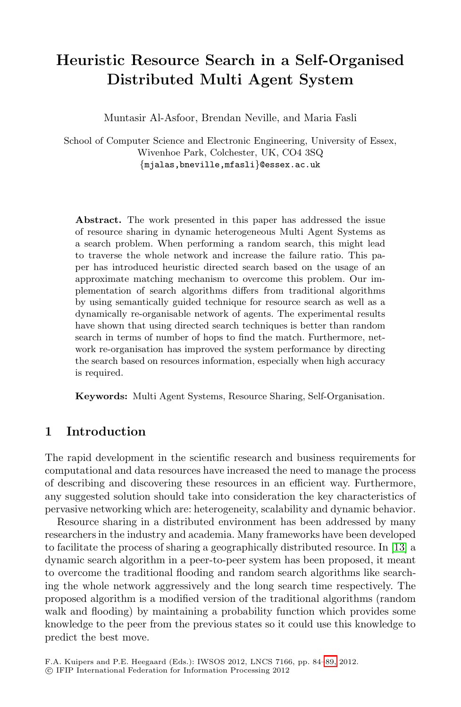# **Heuristic Resource Search in a Self-Organised Distributed Multi Agent System**

Muntasir Al-Asfoor, Brendan Neville, and Maria Fasli

School of Computer Science and Electronic Engineering, University of Essex, Wivenhoe Park, Colchester, UK, CO4 3SQ *{*mjalas,bneville,mfasli*}*@essex.ac.uk

**Abstract.** The work presented in this paper has addressed the issue of resource sharing in dynamic heterogeneous Multi Agent Systems as a search problem. When performing a random search, this might lead to traverse the whole network and increase the failure ratio. This paper has introduced heuristic directed search based on the usage of an approximate matching mechanism to overcome this problem. Our implementation of search algorithms differs from traditional algorithms by using semantically guided technique for resource search as well as a dynamically re-organisable network of agents. The experimental results have shown that using directed search techniques is better than random search in terms of number of hops to find the match. Furthermore, network re-organisation has improved the system performance by directing the search based on resources information, especially when high accuracy is required.

**Keywords:** Multi Agent Systems, Resource Sharing, Self-Organisation.

## **1 Introduction**

The rapid development in the scientific research and b[usin](#page-5-0)ess requirements for computational and data resources have increased the need to manage the process of describing and discovering these resources in an efficient way. Furthermore, any suggested solution should take into consideration the key characteristics of pervasive networking which are: heterogeneity, scalability and dynamic behavior.

Resource sharing in a distributed environment has been addressed by many researchers in the industry and academia. Many frameworks have been developed to facilitate the process of sharing a geographically distributed resource. In [13] a dynamic search algorithm in a peer-to-p[eer](#page-5-1) system has been proposed, it meant to overcome the traditional flooding and random search algorithms like searching the whole network aggressively and the long search time respectively. The proposed algorithm is a modified version of the traditional algorithms (random walk and flooding) by maintaining a probability function which provides some knowledge to the peer from the previous states so it could use this knowledge to predict the best move.

F.A. Kuipers and P.E. Heegaard (Eds.): IWSOS 2012, LNCS 7166, pp. 84–89, 2012.

<sup>-</sup>c IFIP International Federation for Information Processing 2012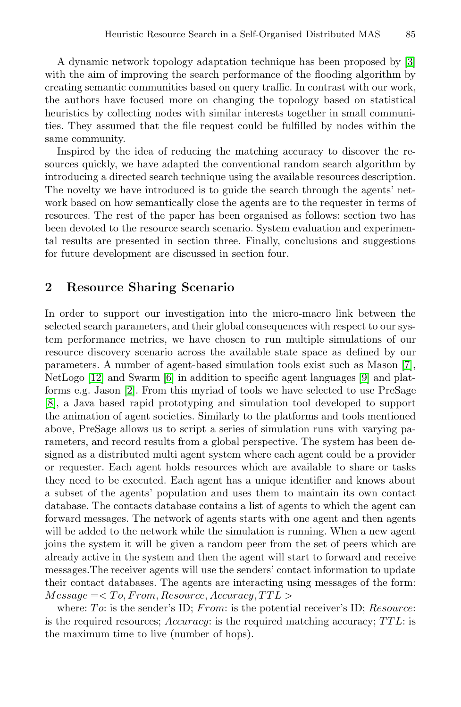A dynamic network topology adaptation technique has been proposed by [3] with the aim of improving the search performance of the flooding algorithm by creating semantic communities based on query traffic. In contrast with our work, the authors have focused more on changing the topology based on statistical heuristics by collecting nodes with similar interests together in small communities. They assumed that the file request could be fulfilled by nodes within the same community.

Inspired by the idea of reducing the matching accuracy to discover the resources quickly, we have adapted the conventional random search algorithm by introducing a directed search technique using the available resources description. The novelty we have introduced is to guide the search through the agents' network based on how semantically close the agents are to the requester in terms of resources. The rest of the paper has been organised as follows: section two has been devoted to the resource search scenario. System evaluation and experimental results are presented in section three. Finally, conclusions and suggestions for future development are discussed in section four.

## **[2](#page-5-3) [Res](#page-5-2)ource Sharing Scenario**

In order to support our investigation into the micro-macro link between the selected search parameters, and their global consequences with respect to our system performance metrics, we have chosen to run multiple simulations of our resource discovery scenario across the available state space as defined by our parameters. A number of agent-based simulation tools exist such as Mason [7], NetLogo [12] and Swarm [6] in addition to specific agent languages [9] and platforms e.g. Jason [2]. From this myriad of tools we have selected to use PreSage [8], a Java based rapid prototyping and simulation tool developed to support the animation of agent societies. Similarly to the platforms and tools mentioned above, PreSage allows us to script a series of simulation runs with varying parameters, and record results from a global perspective. The system has been designed as a distributed multi agent system where each agent could be a provider or requester. Each agent holds resources which are available to share or tasks they need to be executed. Each agent has a unique identifier and knows about a subset of the agents' population and uses them to maintain its own contact database. The contacts database contains a list of agents to which the agent can forward messages. The network of agents starts with one agent and then agents will be added to the network while the simulation is running. When a new agent joins the system it will be given a random peer from the set of peers which are already active in the system and then the agent will start to forward and receive messages.The receiver agents will use the senders' contact information to update their contact databases. The agents are interacting using messages of the form: *Message* <sup>=</sup>*< T o, F rom, Resource, Accuracy, T T L >*

where: *To*: is the sender's ID; *From*: is the potential receiver's ID; *Resource*: is the required resources; *Accuracy*: is the required matching accuracy; *TTL*: is the maximum time to live (number of hops).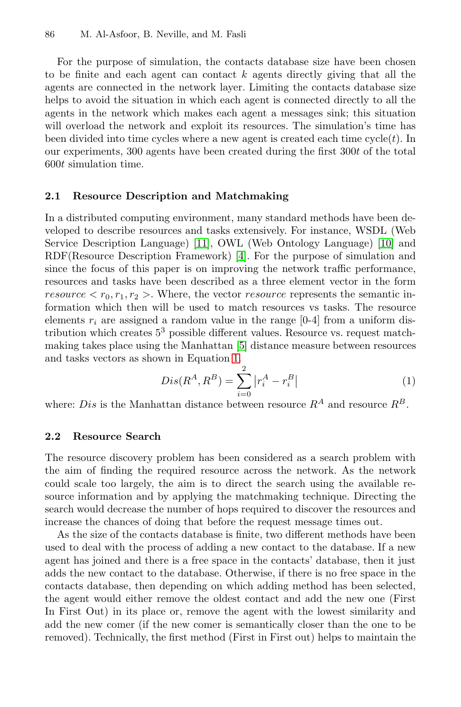#### 86 M. Al-Asfoor, B. Neville, and M. Fasli

For the purpose of simulation, the contacts database size have been chosen to be finite and each agent can contact *k* agents directly giving that all the agents are connected in the network layer. Limiting the contacts database size helps to avoid the situation in which each agent is connected directly to all the agents in the network which makes each agent a messages sink; this situation will overload the network and exploit its resources. The simulation's time has been divided [into](#page-5-4) time cycles where a new agent is cr[eate](#page-5-5)d each time  $cycle(t)$ . In our experiments, 300 [ag](#page-5-6)ents have been created during the first 300*t* of the total <sup>600</sup>*t* simulation time.

### <span id="page-2-0"></span>**2.1 Resource Description and Matchmaking**

In a distributed computing environment, many standard methods have been developed to describe resources and tasks extensively. For instance, WSDL (Web Service Description L[an](#page-5-7)guage) [11], OWL (Web Ontology Language) [10] and RDF(Resource Desc[rip](#page-2-0)tion Framework) [4]. For the purpose of simulation and since the focus of this paper is on improving the network traffic performance, resources and tasks have been described as a three element vector in the form *resource*  $\langle r_0, r_1, r_2 \rangle$ . Where, the vector *resource* represents the semantic information which then will be used to match resources vs tasks. The resource elements  $r_i$  are assigned a random value in the range  $[0-4]$  from a uniform distribution which creates 5<sup>3</sup> possible different values. Resource vs. request matchmaking takes place using the Manhattan [5] distance measure between resources and tasks vectors as shown in Equation 1.

$$
Dis(R^A, R^B) = \sum_{i=0}^{2} |r_i^A - r_i^B|
$$
 (1)

where: *Dis* is the Manhattan distance between resource  $R^A$  and resource  $R^B$ .

#### **2.2 Resource Search**

The resource discovery problem has been considered as a search problem with the aim of finding the required resource across the network. As the network could scale too largely, the aim is to direct the search using the available resource information and by applying the matchmaking technique. Directing the search would decrease the number of hops required to discover the resources and increase the chances of doing that before the request message times out.

As the size of the contacts database is finite, two different methods have been used to deal with the process of adding a new contact to the database. If a new agent has joined and there is a free space in the contacts' database, then it just adds the new contact to the database. Otherwise, if there is no free space in the contacts database, then depending on which adding method has been selected, the agent would either remove the oldest contact and add the new one (First In First Out) in its place or, remove the agent with the lowest similarity and add the new comer (if the new comer is semantically closer than the one to be removed). Technically, the first method (First in First out) helps to maintain the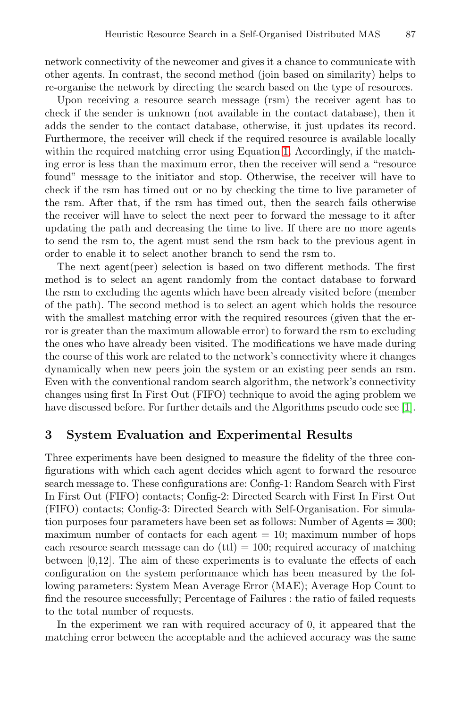network connectivity of the new[co](#page-2-0)mer and gives it a chance to communicate with other agents. In contrast, the second method (join based on similarity) helps to re-organise the network by directing the search based on the type of resources.

Upon receiving a resource search message (rsm) the receiver agent has to check if the sender is unknown (not available in the contact database), then it adds the sender to the contact database, otherwise, it just updates its record. Furthermore, the receiver will check if the required resource is available locally within the required matching error using Equation 1. Accordingly, if the matching error is less than the maximum error, then the receiver will send a "resource found" message to the initiator and stop. Otherwise, the receiver will have to check if the rsm has timed out or no by checking the time to live parameter of the rsm. After that, if the rsm has timed out, then the search fails otherwise the receiver will have to select the next peer to forward the message to it after updating the path and decreasing the time to live. If there are no more agents to send the rsm to, the agent must send the rsm back to the previous agent in order to enable it to select another branch to send the rsm to.

The next agent(peer) selection is based on two different methods. The first method is to select an agent randomly from the contact database to forward the rsm to excluding the agents which have been already visited before (member of the path). The second method is to select an agent wh[ich](#page-5-8) holds the resource with the smallest matching error with the required resources (given that the error is greater than the maximum allowable error) to forward the rsm to excluding the ones who have already been visited. The modifications we have made during the course of this work are related to the network's connectivity where it changes dynamically when new peers join the system or an existing peer sends an rsm. Even with the conventional random search algorithm, the network's connectivity changes using first In First Out (FIFO) technique to avoid the aging problem we have discussed before. For further details and the Algorithms pseudo code see [1].

# **3 System Evaluation and Experimental Results**

Three experiments have been designed to measure the fidelity of the three configurations with which each agent decides which agent to forward the resource search message to. These configurations are: Config-1: Random Search with First In First Out (FIFO) contacts; Config-2: Directed Search with First In First Out (FIFO) contacts; Config-3: Directed Search with Self-Organisation. For simulation purposes four parameters have been set as follows: Number of Agents = 300; maximum number of contacts for each agent  $= 10$ ; maximum number of hops each resource search message can do  $(t1) = 100$ ; required accuracy of matching between [0,12]. The aim of these experiments is to evaluate the effects of each configuration on the system performance which has been measured by the following parameters: System Mean Average Error (MAE); Average Hop Count to find the resource successfully; Percentage of Failures : the ratio of failed requests to the total number of requests.

In the experiment we ran with required accuracy of 0, it appeared that the matching error between the acceptable and the achieved accuracy was the same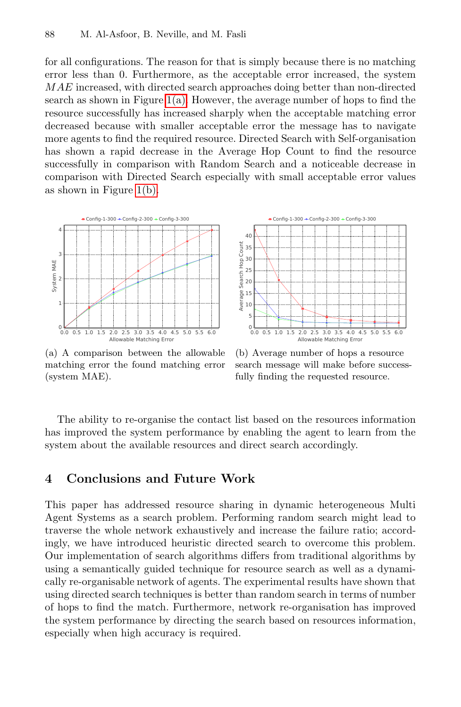#### 88 M. Al-Asfoor, B. Neville, and M. Fasli

for all configurations. The reason for that is simply because there is no matching error less than 0. Furthermore, as the acceptable error increased, the system *[MAE](#page-4-0)* increased, with directed search approaches doing better than non-directed search as shown in Figure  $1(a)$ . However, the average number of hops to find the resource successfully has increased sharply when the acceptable matching error decreased because with smaller acceptable error the message has to navigate more agents to find the required resource. Directed Search with Self-organisation has shown a rapid decrease in the Average Hop Count to find the resource successfully in comparison with Random Search and a noticeable decrease in comparison with Directed Search especially with small acceptable error values as shown in Figure 1(b).



<span id="page-4-0"></span>

(a) A comparison between the allowable matching error the found matching error (system MAE).

(b) Average number of hops a resource search message will make before successfully finding the requested resource.

The ability to re-organise the contact list based on the resources information has improved the system performance by enabling the agent to learn from the system about the available resources and direct search accordingly.

## **4 Conclusions and Future Work**

This paper has addressed resource sharing in dynamic heterogeneous Multi Agent Systems as a search problem. Performing random search might lead to traverse the whole network exhaustively and increase the failure ratio; accordingly, we have introduced heuristic directed search to overcome this problem. Our implementation of search algorithms differs from traditional algorithms by using a semantically guided technique for resource search as well as a dynamically re-organisable network of agents. The experimental results have shown that using directed search techniques is better than random search in terms of number of hops to find the match. Furthermore, network re-organisation has improved the system performance by directing the search based on resources information, especially when high accuracy is required.